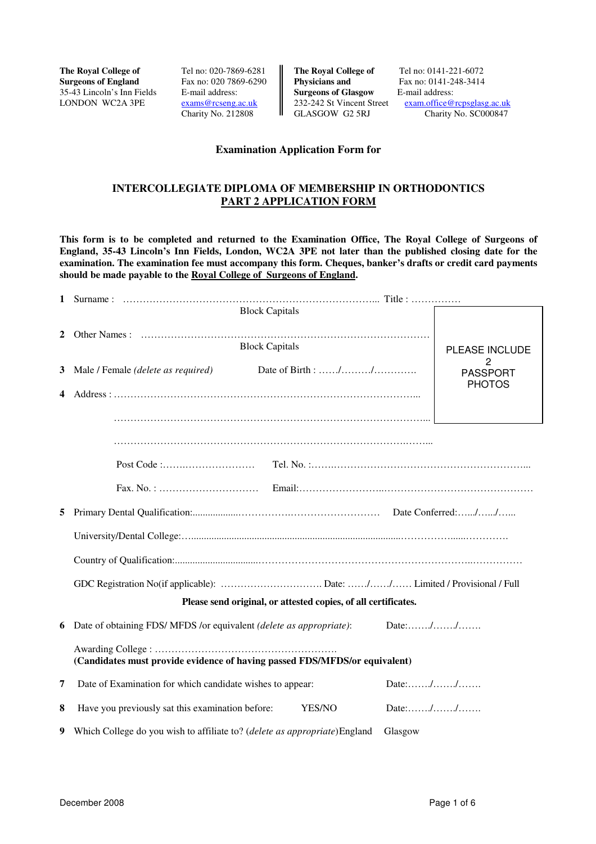**The Royal College of Tel no: 020-7869-6281 The Royal College of Tel no: 0141-221-6072**<br>**Surgeons of England Fax no: 020 7869-6290 Physicians and Fax no: 0141-248-3414** 35-43 Lincoln's Inn Fields E-mail address:<br>
LONDON WC2A 3PE exams@rcseng.ac.uk 232-242 St Vincent Street exam.office@

Fax no: 020 7869-6290

Exams@rcseng.ac.uk <br>
Charity No. 212808 <br>
CLASGOW G2 5RJ Charity No. SC000847 Charity No. SC000847

### **Examination Application Form for**

## **INTERCOLLEGIATE DIPLOMA OF MEMBERSHIP IN ORTHODONTICS PART 2 APPLICATION FORM**

**This form is to be completed and returned to the Examination Office, The Royal College of Surgeons of England, 35-43 Lincoln's Inn Fields, London, WC2A 3PE not later than the published closing date for the examination. The examination fee must accompany this form. Cheques, banker's drafts or credit card payments should be made payable to the Royal College of Surgeons of England.** 

| 1 |                                                                                |                      |
|---|--------------------------------------------------------------------------------|----------------------|
|   | <b>Block Capitals</b>                                                          |                      |
| 2 |                                                                                |                      |
|   | <b>Block Capitals</b>                                                          | PLEASE INCLUDE       |
| 3 | Male / Female (delete as required)                                             | 2<br><b>PASSPORT</b> |
| 4 |                                                                                | <b>PHOTOS</b>        |
|   |                                                                                |                      |
|   |                                                                                |                      |
|   |                                                                                |                      |
|   |                                                                                |                      |
|   |                                                                                |                      |
|   |                                                                                |                      |
| 5 |                                                                                |                      |
|   |                                                                                |                      |
|   |                                                                                |                      |
|   |                                                                                |                      |
|   | Please send original, or attested copies, of all certificates.                 |                      |
|   |                                                                                |                      |
|   | 6 Date of obtaining FDS/ MFDS / or equivalent <i>(delete as appropriate)</i> : | Date://              |
|   |                                                                                |                      |
|   | (Candidates must provide evidence of having passed FDS/MFDS/or equivalent)     |                      |
| 7 | Date of Examination for which candidate wishes to appear:                      | Date://              |
| 8 | Have you previously sat this examination before:<br>YES/NO                     | Date://              |
| 9 | Which College do you wish to affiliate to? (delete as appropriate) England     | Glasgow              |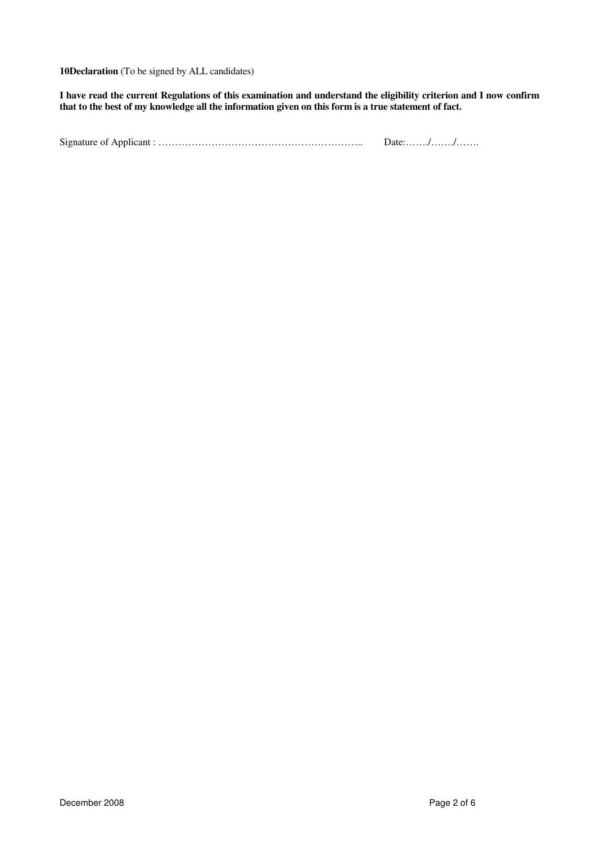**10Declaration** (To be signed by ALL candidates)

**I have read the current Regulations of this examination and understand the eligibility criterion and I now confirm that to the best of my knowledge all the information given on this form is a true statement of fact.** 

Signature of Applicant : …………………………………………………….. Date:……./……./…….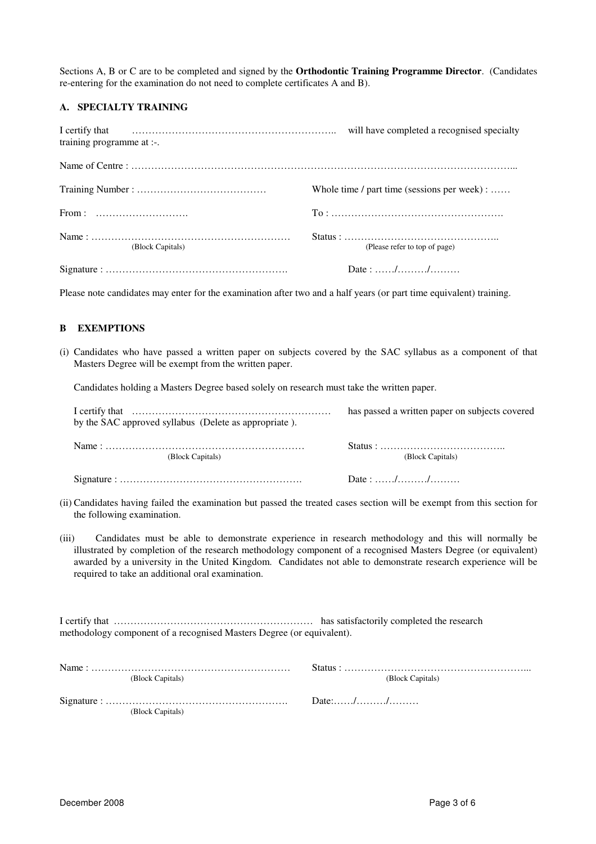Sections A, B or C are to be completed and signed by the **Orthodontic Training Programme Director**. (Candidates re-entering for the examination do not need to complete certificates A and B).

### **A. SPECIALTY TRAINING**

| training programme at :-. | will have completed a recognised specialty        |
|---------------------------|---------------------------------------------------|
|                           |                                                   |
|                           | Whole time $\ell$ part time (sessions per week) : |
|                           |                                                   |
| (Block Capitals)          | (Please refer to top of page)                     |
|                           | Date: //                                          |

Please note candidates may enter for the examination after two and a half years (or part time equivalent) training.

### **B EXEMPTIONS**

(i) Candidates who have passed a written paper on subjects covered by the SAC syllabus as a component of that Masters Degree will be exempt from the written paper.

Candidates holding a Masters Degree based solely on research must take the written paper.

| by the SAC approved syllabus (Delete as appropriate). | has passed a written paper on subjects covered |
|-------------------------------------------------------|------------------------------------------------|
| (Block Capitals)                                      | (Block Capitals)                               |
|                                                       | Date: $\ldots \ldots \ldots \ldots \ldots$     |

- (ii) Candidates having failed the examination but passed the treated cases section will be exempt from this section for the following examination.
- (iii) Candidates must be able to demonstrate experience in research methodology and this will normally be illustrated by completion of the research methodology component of a recognised Masters Degree (or equivalent) awarded by a university in the United Kingdom. Candidates not able to demonstrate research experience will be required to take an additional oral examination.

I certify that …………………………………………………… has satisfactorily completed the research methodology component of a recognised Masters Degree (or equivalent).

| (Block Capitals) |         | (Block Capitals) |
|------------------|---------|------------------|
| (Block Capitals) | Date:// |                  |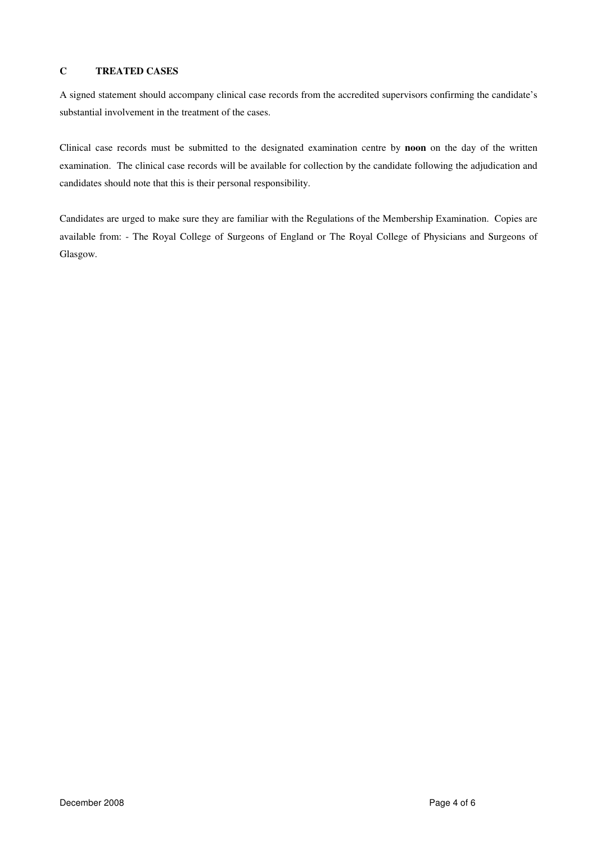# **C TREATED CASES**

A signed statement should accompany clinical case records from the accredited supervisors confirming the candidate's substantial involvement in the treatment of the cases.

Clinical case records must be submitted to the designated examination centre by **noon** on the day of the written examination. The clinical case records will be available for collection by the candidate following the adjudication and candidates should note that this is their personal responsibility.

Candidates are urged to make sure they are familiar with the Regulations of the Membership Examination. Copies are available from: - The Royal College of Surgeons of England or The Royal College of Physicians and Surgeons of Glasgow.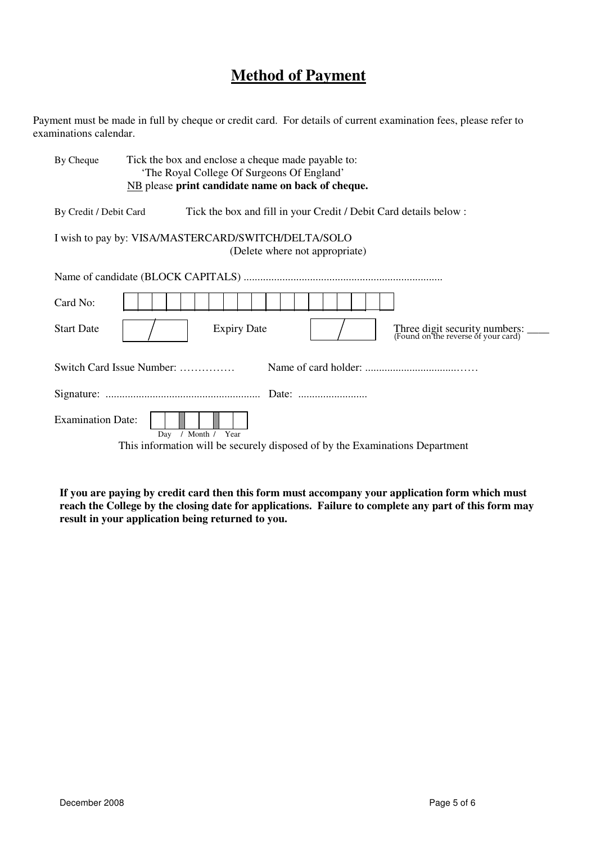# **Method of Payment**

Payment must be made in full by cheque or credit card. For details of current examination fees, please refer to examinations calendar.

| By Cheque                | Tick the box and enclose a cheque made payable to:<br>'The Royal College Of Surgeons Of England'  |
|--------------------------|---------------------------------------------------------------------------------------------------|
|                          | NB please print candidate name on back of cheque.                                                 |
| By Credit / Debit Card   | Tick the box and fill in your Credit / Debit Card details below :                                 |
|                          | I wish to pay by: VISA/MASTERCARD/SWITCH/DELTA/SOLO<br>(Delete where not appropriate)             |
|                          |                                                                                                   |
| Card No:                 |                                                                                                   |
| <b>Start Date</b>        | <b>Expiry Date</b><br>Three digit security numbers: ______<br>(Found on the reverse of your card) |
|                          | Switch Card Issue Number:                                                                         |
|                          |                                                                                                   |
| <b>Examination Date:</b> | / Month / Year<br>Day                                                                             |
|                          | This information will be securely disposed of by the Examinations Department                      |

**If you are paying by credit card then this form must accompany your application form which must reach the College by the closing date for applications. Failure to complete any part of this form may result in your application being returned to you.**